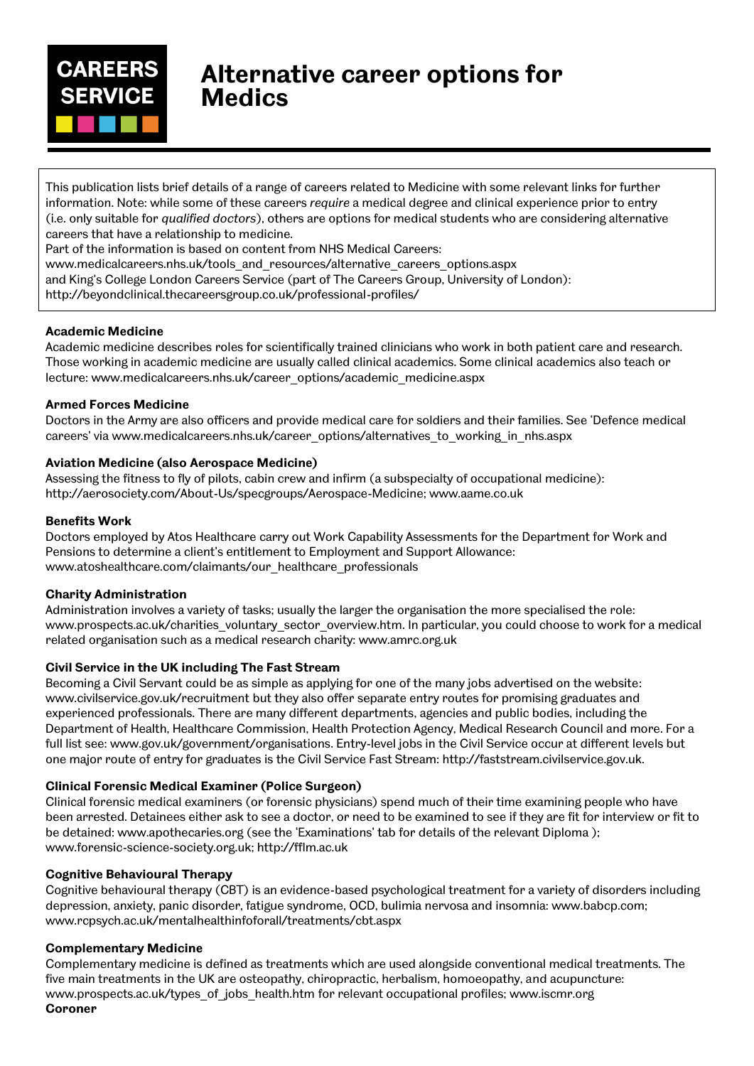

# **Alternative career options for Medics**

This publication lists brief details of a range of careers related to Medicine with some relevant links for further information. Note: while some of these careers *require* a medical degree and clinical experience prior to entry (i.e. only suitable for *qualified doctors*), others are options for medical students who are considering alternative careers that have a relationship to medicine.

Part of the information is based on content from NHS Medical Careers:

www.medicalcareers.nhs.uk/tools\_and\_resources/alternative\_careers\_options.aspx

and King's College London Careers Service (part of The Careers Group, University of London):

http://beyondclinical.thecareersgroup.co.uk/professional-profiles/

### **Academic Medicine**

Academic medicine describes roles for scientifically trained clinicians who work in both patient care and research. Those working in academic medicine are usually called clinical academics. Some clinical academics also teach or lecture: www.medicalcareers.nhs.uk/career\_options/academic\_medicine.aspx

# **Armed Forces Medicine**

Doctors in the Army are also officers and provide medical care for soldiers and their families. See 'Defence medical careers' via www.medicalcareers.nhs.uk/career\_options/alternatives\_to\_working\_in\_nhs.aspx

# **Aviation Medicine (also Aerospace Medicine)**

Assessing the fitness to fly of pilots, cabin crew and infirm (a subspecialty of occupational medicine): http://aerosociety.com/About-Us/specgroups/Aerospace-Medicine; www.aame.co.uk

### **Benefits Work**

Doctors employed by Atos Healthcare carry out Work Capability Assessments for the Department for Work and Pensions to determine a client's entitlement to Employment and Support Allowance: www.atoshealthcare.com/claimants/our\_healthcare\_professionals

# **Charity Administration**

Administration involves a variety of tasks; usually the larger the organisation the more specialised the role: www.prospects.ac.uk/charities\_voluntary\_sector\_overview.htm. In particular, you could choose to work for a medical related organisation such as a medical research charity: www.amrc.org.uk

# **Civil Service in the UK including The Fast Stream**

Becoming a Civil Servant could be as simple as applying for one of the many jobs advertised on the website: www.civilservice.gov.uk/recruitment but they also offer separate entry routes for promising graduates and experienced professionals. There are many different departments, agencies and public bodies, including the Department of Health, Healthcare Commission, Health Protection Agency, Medical Research Council and more. For a full list see: www.gov.uk/government/organisations. Entry-level jobs in the Civil Service occur at different levels but one major route of entry for graduates is the Civil Service Fast Stream: http://faststream.civilservice.gov.uk.

# **Clinical Forensic Medical Examiner (Police Surgeon)**

Clinical forensic medical examiners (or forensic physicians) spend much of their time examining people who have been arrested. Detainees either ask to see a doctor, or need to be examined to see if they are fit for interview or fit to be detained: www.apothecaries.org (see the 'Examinations' tab for details of the relevant Diploma ); www.forensic-science-society.org.uk; http://fflm.ac.uk

# **Cognitive Behavioural Therapy**

Cognitive behavioural therapy (CBT) is an evidence-based psychological treatment for a variety of disorders including depression, anxiety, panic disorder, fatigue syndrome, OCD, bulimia nervosa and insomnia: www.babcp.com; www.rcpsych.ac.uk/mentalhealthinfoforall/treatments/cbt.aspx

# **Complementary Medicine**

Complementary medicine is defined as treatments which are used alongside conventional medical treatments. The five main treatments in the UK are osteopathy, chiropractic, herbalism, homoeopathy, and acupuncture: www.prospects.ac.uk/types\_of\_jobs\_health.htm for relevant occupational profiles; www.iscmr.org **Coroner**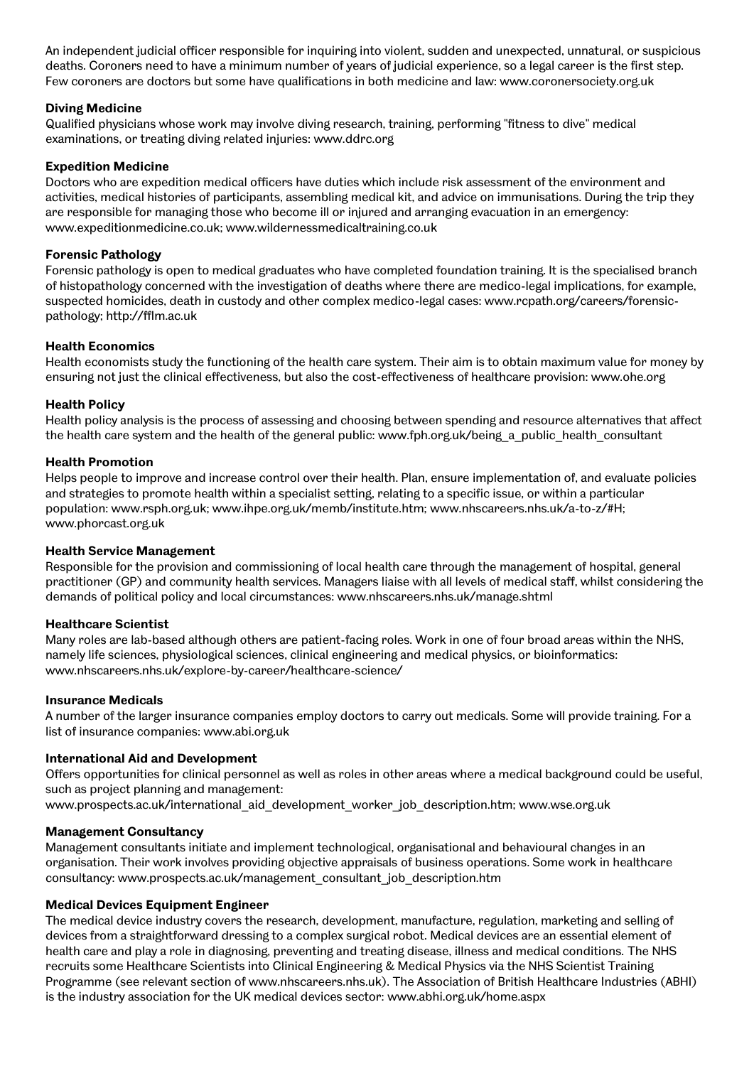An independent judicial officer responsible for inquiring into violent, sudden and unexpected, unnatural, or suspicious deaths. Coroners need to have a minimum number of years of judicial experience, so a legal career is the first step. Few coroners are doctors but some have qualifications in both medicine and law: www.coronersociety.org.uk

### **Diving Medicine**

Qualified physicians whose work may involve diving research, training, performing "fitness to dive" medical examinations, or treating diving related injuries: www.ddrc.org

### **Expedition Medicine**

Doctors who are expedition medical officers have duties which include risk assessment of the environment and activities, medical histories of participants, assembling medical kit, and advice on immunisations. During the trip they are responsible for managing those who become ill or injured and arranging evacuation in an emergency: www.expeditionmedicine.co.uk; www.wildernessmedicaltraining.co.uk

### **Forensic Pathology**

Forensic pathology is open to medical graduates who have completed foundation training. It is the specialised branch of histopathology concerned with the investigation of deaths where there are medico-legal implications, for example, suspected homicides, death in custody and other complex medico-legal cases: www.rcpath.org/careers/forensicpathology; http://fflm.ac.uk

### **Health Economics**

Health economists study the functioning of the health care system. Their aim is to obtain maximum value for money by ensuring not just the clinical effectiveness, but also the cost-effectiveness of healthcare provision: www.ohe.org

### **Health Policy**

Health policy analysis is the process of assessing and choosing between spending and resource alternatives that affect the health care system and the health of the general public: www.fph.org.uk/being a public health consultant

### **Health Promotion**

Helps people to improve and increase control over their health. Plan, ensure implementation of, and evaluate policies and strategies to promote health within a specialist setting, relating to a specific issue, or within a particular population: www.rsph.org.uk; www.ihpe.org.uk/memb/institute.htm; www.nhscareers.nhs.uk/a-to-z/#H; www.phorcast.org.uk

### **Health Service Management**

Responsible for the provision and commissioning of local health care through the management of hospital, general practitioner (GP) and community health services. Managers liaise with all levels of medical staff, whilst considering the demands of political policy and local circumstances: www.nhscareers.nhs.uk/manage.shtml

### **Healthcare Scientist**

Many roles are lab-based although others are patient-facing roles. Work in one of four broad areas within the NHS, namely life sciences, physiological sciences, clinical engineering and medical physics, or bioinformatics: www.nhscareers.nhs.uk/explore-by-career/healthcare-science/

### **Insurance Medicals**

A number of the larger insurance companies employ doctors to carry out medicals. Some will provide training. For a list of insurance companies: www.abi.org.uk

### **International Aid and Development**

Offers opportunities for clinical personnel as well as roles in other areas where a medical background could be useful, such as project planning and management:

www.prospects.ac.uk/international\_aid\_development\_worker\_job\_description.htm; www.wse.org.uk

# **Management Consultancy**

Management consultants initiate and implement technological, organisational and behavioural changes in an organisation. Their work involves providing objective appraisals of business operations. Some work in healthcare consultancy: www.prospects.ac.uk/management\_consultant\_job\_description.htm

### **Medical Devices Equipment Engineer**

The medical device industry covers the research, development, manufacture, regulation, marketing and selling of devices from a straightforward dressing to a complex surgical robot. Medical devices are an essential element of health care and play a role in diagnosing, preventing and treating disease, illness and medical conditions. The NHS recruits some Healthcare Scientists into Clinical Engineering & Medical Physics via the NHS Scientist Training Programme (see relevant section of www.nhscareers.nhs.uk). The Association of British Healthcare Industries (ABHI) is the industry association for the UK medical devices sector: www.abhi.org.uk/home.aspx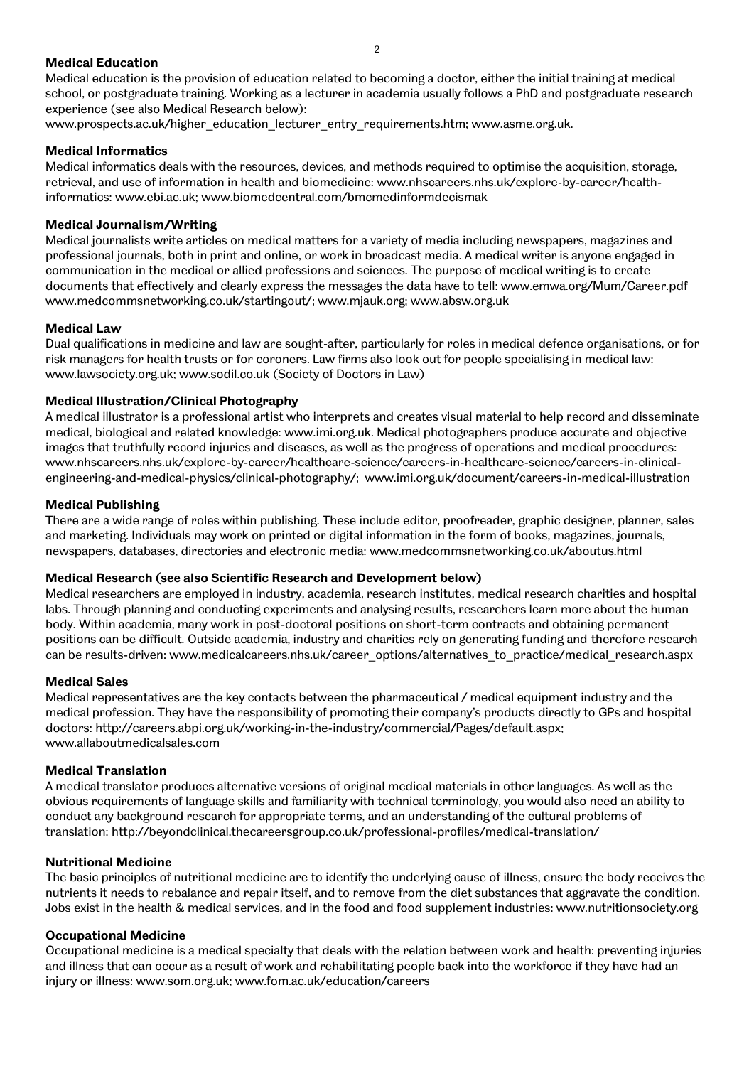### **Medical Education**

Medical education is the provision of education related to becoming a doctor, either the initial training at medical school, or postgraduate training. Working as a lecturer in academia usually follows a PhD and postgraduate research experience (see also Medical Research below):

www.prospects.ac.uk/higher\_education\_lecturer\_entry\_requirements.htm; www.asme.org.uk.

# **Medical Informatics**

Medical informatics deals with the resources, devices, and methods required to optimise the acquisition, storage, retrieval, and use of information in health and biomedicine: www.nhscareers.nhs.uk/explore-by-career/healthinformatics: www.ebi.ac.uk; www.biomedcentral.com/bmcmedinformdecismak

# **Medical Journalism/Writing**

Medical journalists write articles on medical matters for a variety of media including newspapers, magazines and professional journals, both in print and online, or work in broadcast media. A medical writer is anyone engaged in communication in the medical or allied professions and sciences. The purpose of medical writing is to create documents that effectively and clearly express the messages the data have to tell: www.emwa.org/Mum/Career.pdf www.medcommsnetworking.co.uk/startingout/; www.mjauk.org; www.absw.org.uk

# **Medical Law**

Dual qualifications in medicine and law are sought-after, particularly for roles in medical defence organisations, or for risk managers for health trusts or for coroners. Law firms also look out for people specialising in medical law: www.lawsociety.org.uk; www.sodil.co.uk (Society of Doctors in Law)

# **Medical lllustration/Clinical Photography**

A medical illustrator is a professional artist who interprets and creates visual material to help record and disseminate medical, biological and related knowledge: www.imi.org.uk. Medical photographers produce accurate and objective images that truthfully record injuries and diseases, as well as the progress of operations and medical procedures: www.nhscareers.nhs.uk/explore-by-career/healthcare-science/careers-in-healthcare-science/careers-in-clinicalengineering-and-medical-physics/clinical-photography/; www.imi.org.uk/document/careers-in-medical-illustration

# **Medical Publishing**

There are a wide range of roles within publishing. These include editor, proofreader, graphic designer, planner, sales and marketing. Individuals may work on printed or digital information in the form of books, magazines, journals, newspapers, databases, directories and electronic media: www.medcommsnetworking.co.uk/aboutus.html

# **Medical Research (see also Scientific Research and Development below)**

Medical researchers are employed in industry, academia, research institutes, medical research charities and hospital labs. Through planning and conducting experiments and analysing results, researchers learn more about the human body. Within academia, many work in post-doctoral positions on short-term contracts and obtaining permanent positions can be difficult. Outside academia, industry and charities rely on generating funding and therefore research can be results-driven: www.medicalcareers.nhs.uk/career\_options/alternatives\_to\_practice/medical\_research.aspx

# **Medical Sales**

Medical representatives are the key contacts between the pharmaceutical / medical equipment industry and the medical profession. They have the responsibility of promoting their company's products directly to GPs and hospital doctors: http://careers.abpi.org.uk/working-in-the-industry/commercial/Pages/default.aspx; www.allaboutmedicalsales.com

# **Medical Translation**

A medical translator produces alternative versions of original medical materials in other languages. As well as the obvious requirements of language skills and familiarity with technical terminology, you would also need an ability to conduct any background research for appropriate terms, and an understanding of the cultural problems of translation: http://beyondclinical.thecareersgroup.co.uk/professional-profiles/medical-translation/

# **Nutritional Medicine**

The basic principles of nutritional medicine are to identify the underlying cause of illness, ensure the body receives the nutrients it needs to rebalance and repair itself, and to remove from the diet substances that aggravate the condition. Jobs exist in the health & medical services, and in the food and food supplement industries: www.nutritionsociety.org

# **Occupational Medicine**

Occupational medicine is a medical specialty that deals with the relation between work and health: preventing injuries and illness that can occur as a result of work and rehabilitating people back into the workforce if they have had an injury or illness: www.som.org.uk; www.fom.ac.uk/education/careers